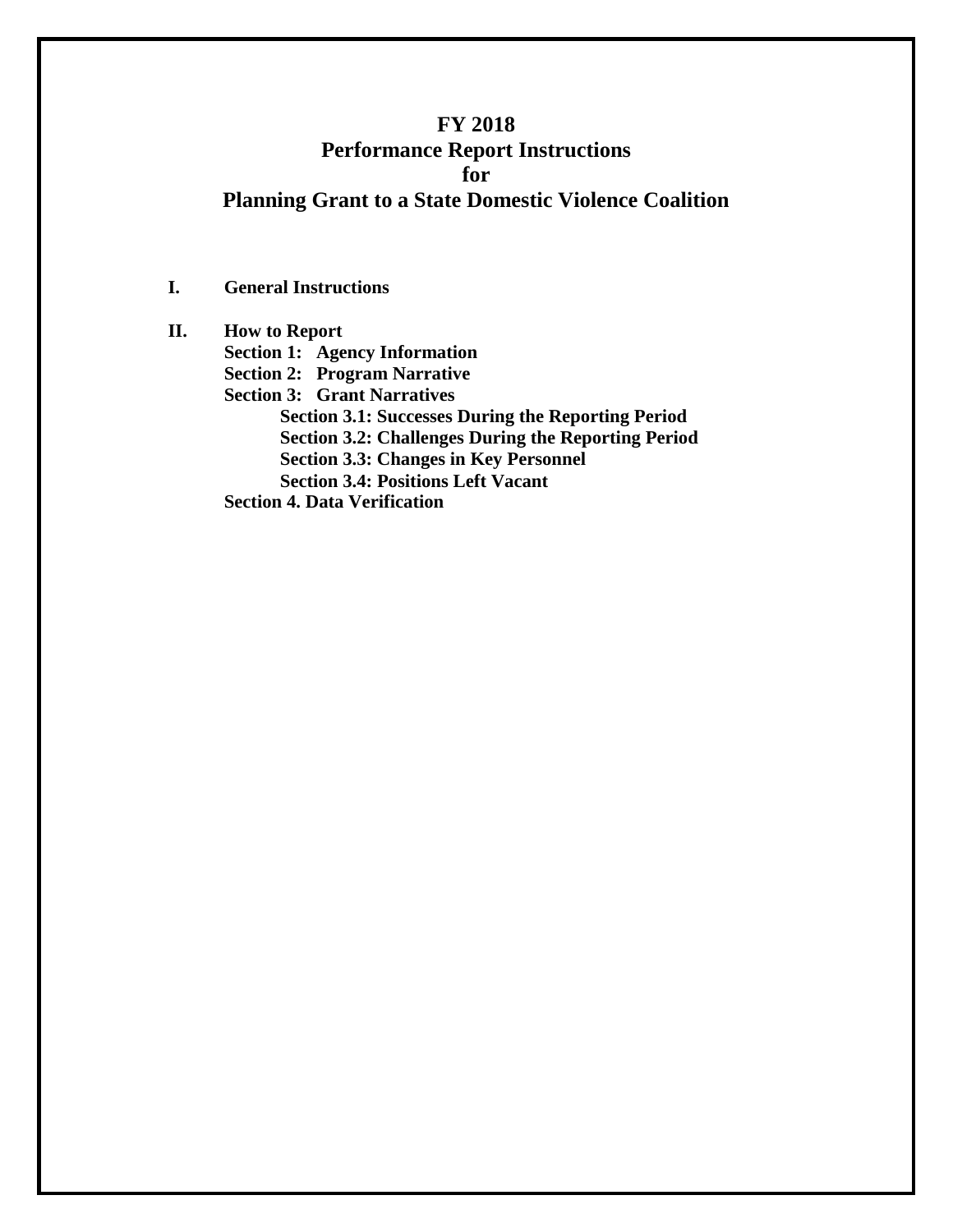# **FY 2018 Performance Report Instructions for Planning Grant to a State Domestic Violence Coalition**

**I. General Instructions**

**II. How to Report Section 1: Agency Information Section 2: Program Narrative Section 3: Grant Narratives Section 3.1: Successes During the Reporting Period Section 3.2: Challenges During the Reporting Period Section 3.3: Changes in Key Personnel Section 3.4: Positions Left Vacant Section 4. Data Verification**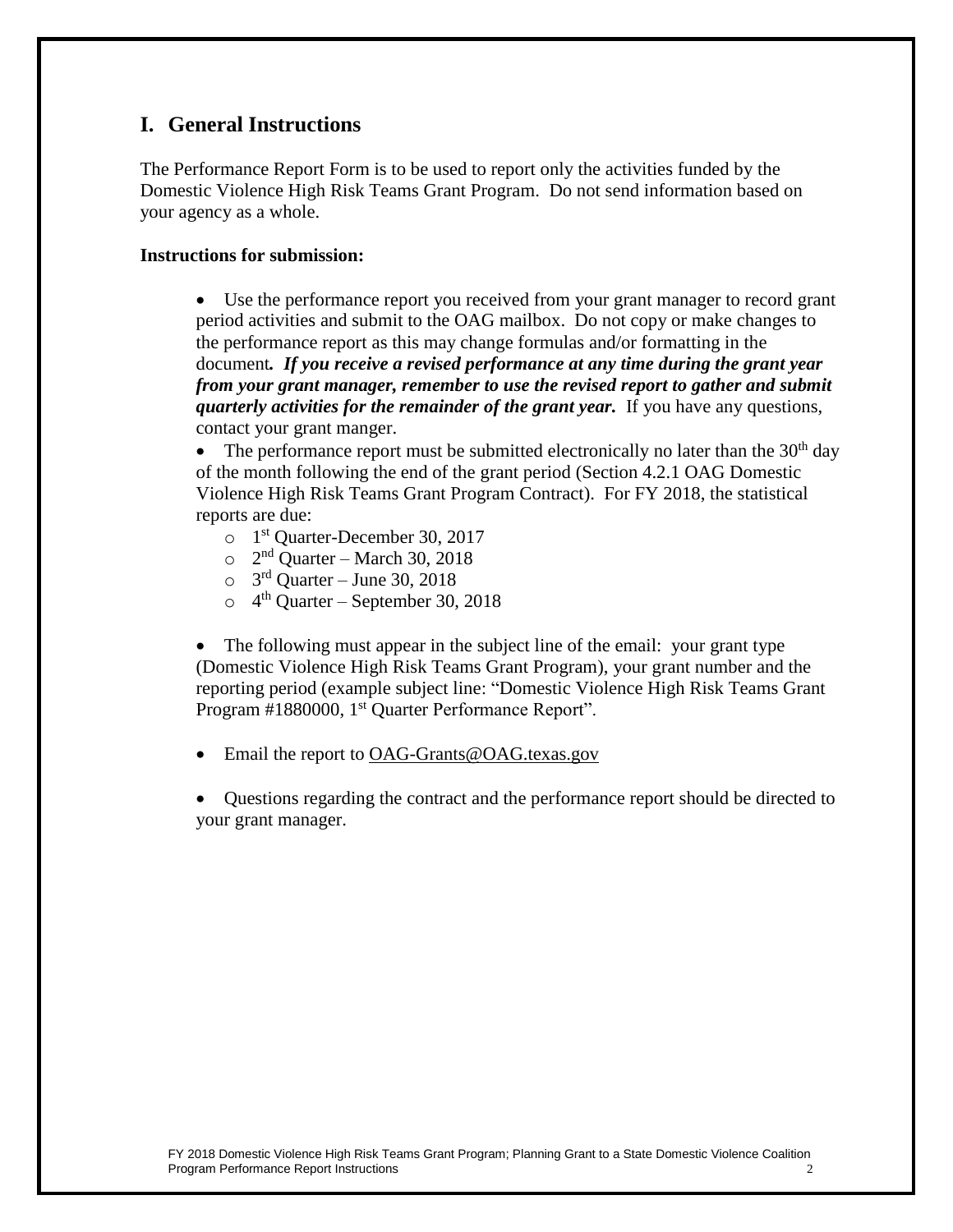## **I. General Instructions**

The Performance Report Form is to be used to report only the activities funded by the Domestic Violence High Risk Teams Grant Program. Do not send information based on your agency as a whole.

#### **Instructions for submission:**

• Use the performance report you received from your grant manager to record grant period activities and submit to the OAG mailbox. Do not copy or make changes to the performance report as this may change formulas and/or formatting in the document*. If you receive a revised performance at any time during the grant year from your grant manager, remember to use the revised report to gather and submit quarterly activities for the remainder of the grant year.* If you have any questions, contact your grant manger.

• The performance report must be submitted electronically no later than the  $30<sup>th</sup>$  day of the month following the end of the grant period (Section 4.2.1 OAG Domestic Violence High Risk Teams Grant Program Contract). For FY 2018, the statistical reports are due:

- o 1 st Quarter-December 30, 2017
- $\circ$  2<sup>nd</sup> Quarter March 30, 2018
- $\circ$  3<sup>rd</sup> Quarter June 30, 2018
- $\circ$  4<sup>th</sup> Quarter September 30, 2018

The following must appear in the subject line of the email: your grant type (Domestic Violence High Risk Teams Grant Program), your grant number and the reporting period (example subject line: "Domestic Violence High Risk Teams Grant Program #1880000, 1<sup>st</sup> Quarter Performance Report".

• Email the report to OAG-Grants@OAG.texas.gov

• Questions regarding the contract and the performance report should be directed to your grant manager.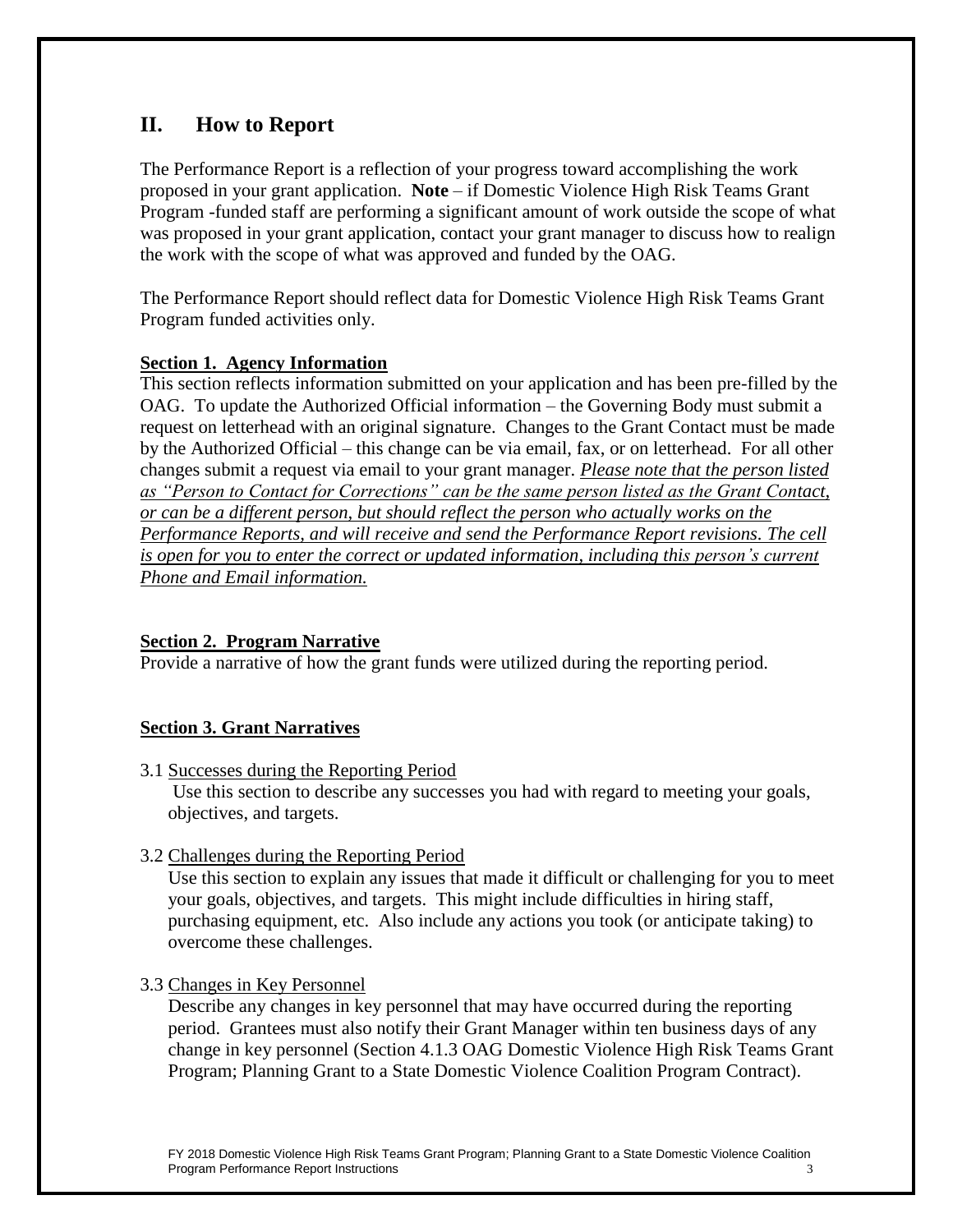# **II. How to Report**

The Performance Report is a reflection of your progress toward accomplishing the work proposed in your grant application. **Note** – if Domestic Violence High Risk Teams Grant Program -funded staff are performing a significant amount of work outside the scope of what was proposed in your grant application, contact your grant manager to discuss how to realign the work with the scope of what was approved and funded by the OAG.

The Performance Report should reflect data for Domestic Violence High Risk Teams Grant Program funded activities only.

## **Section 1. Agency Information**

This section reflects information submitted on your application and has been pre-filled by the OAG. To update the Authorized Official information – the Governing Body must submit a request on letterhead with an original signature. Changes to the Grant Contact must be made by the Authorized Official – this change can be via email, fax, or on letterhead. For all other changes submit a request via email to your grant manager. *Please note that the person listed as "Person to Contact for Corrections" can be the same person listed as the Grant Contact, or can be a different person, but should reflect the person who actually works on the Performance Reports, and will receive and send the Performance Report revisions. The cell is open for you to enter the correct or updated information, including this person's current Phone and Email information.*

## **Section 2. Program Narrative**

Provide a narrative of how the grant funds were utilized during the reporting period.

### **Section 3. Grant Narratives**

3.1 Successes during the Reporting Period

Use this section to describe any successes you had with regard to meeting your goals, objectives, and targets.

3.2 Challenges during the Reporting Period

Use this section to explain any issues that made it difficult or challenging for you to meet your goals, objectives, and targets. This might include difficulties in hiring staff, purchasing equipment, etc. Also include any actions you took (or anticipate taking) to overcome these challenges.

3.3 Changes in Key Personnel

Describe any changes in key personnel that may have occurred during the reporting period. Grantees must also notify their Grant Manager within ten business days of any change in key personnel (Section 4.1.3 OAG Domestic Violence High Risk Teams Grant Program; Planning Grant to a State Domestic Violence Coalition Program Contract).